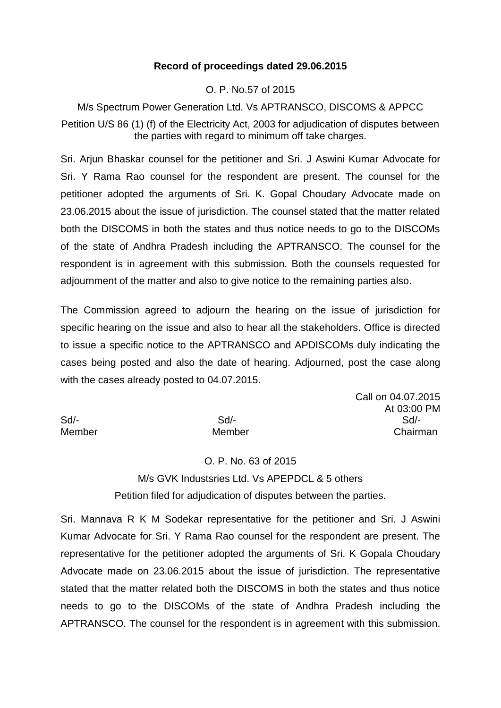### **Record of proceedings dated 29.06.2015**

### O. P. No.57 of 2015

M/s Spectrum Power Generation Ltd. Vs APTRANSCO, DISCOMS & APPCC Petition U/S 86 (1) (f) of the Electricity Act, 2003 for adjudication of disputes between the parties with regard to minimum off take charges.

Sri. Arjun Bhaskar counsel for the petitioner and Sri. J Aswini Kumar Advocate for Sri. Y Rama Rao counsel for the respondent are present. The counsel for the petitioner adopted the arguments of Sri. K. Gopal Choudary Advocate made on 23.06.2015 about the issue of jurisdiction. The counsel stated that the matter related both the DISCOMS in both the states and thus notice needs to go to the DISCOMs of the state of Andhra Pradesh including the APTRANSCO. The counsel for the respondent is in agreement with this submission. Both the counsels requested for adjournment of the matter and also to give notice to the remaining parties also.

The Commission agreed to adjourn the hearing on the issue of jurisdiction for specific hearing on the issue and also to hear all the stakeholders. Office is directed to issue a specific notice to the APTRANSCO and APDISCOMs duly indicating the cases being posted and also the date of hearing. Adjourned, post the case along with the cases already posted to 04.07.2015.

Call on 04.07.2015 At 03:00 PM Sd/- Sd/- Sd/- Member Member Chairman

# O. P. No. 63 of 2015 M/s GVK Industsries Ltd. Vs APEPDCL & 5 others Petition filed for adjudication of disputes between the parties.

Sri. Mannava R K M Sodekar representative for the petitioner and Sri. J Aswini Kumar Advocate for Sri. Y Rama Rao counsel for the respondent are present. The representative for the petitioner adopted the arguments of Sri. K Gopala Choudary Advocate made on 23.06.2015 about the issue of jurisdiction. The representative stated that the matter related both the DISCOMS in both the states and thus notice needs to go to the DISCOMs of the state of Andhra Pradesh including the APTRANSCO. The counsel for the respondent is in agreement with this submission.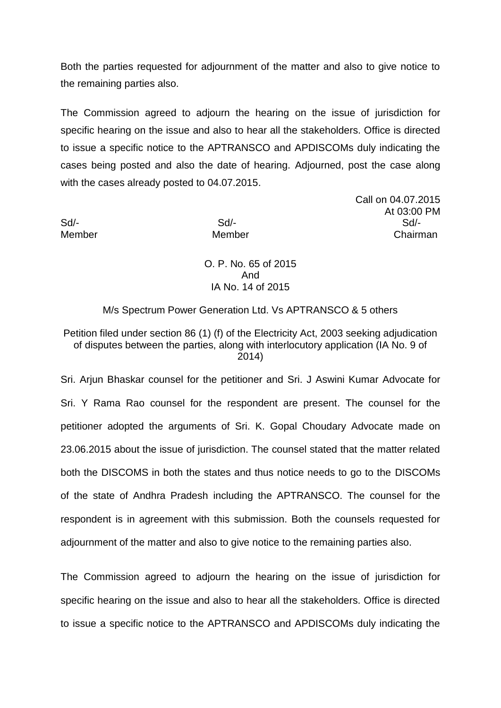Both the parties requested for adjournment of the matter and also to give notice to the remaining parties also.

The Commission agreed to adjourn the hearing on the issue of jurisdiction for specific hearing on the issue and also to hear all the stakeholders. Office is directed to issue a specific notice to the APTRANSCO and APDISCOMs duly indicating the cases being posted and also the date of hearing. Adjourned, post the case along with the cases already posted to 04.07.2015.

Call on 04.07.2015 At 03:00 PM Sd/- Sd/- Sd/- Member Member Chairman

> O. P. No. 65 of 2015 And IA No. 14 of 2015

M/s Spectrum Power Generation Ltd. Vs APTRANSCO & 5 others

Petition filed under section 86 (1) (f) of the Electricity Act, 2003 seeking adjudication of disputes between the parties, along with interlocutory application (IA No. 9 of 2014)

Sri. Arjun Bhaskar counsel for the petitioner and Sri. J Aswini Kumar Advocate for Sri. Y Rama Rao counsel for the respondent are present. The counsel for the petitioner adopted the arguments of Sri. K. Gopal Choudary Advocate made on 23.06.2015 about the issue of jurisdiction. The counsel stated that the matter related both the DISCOMS in both the states and thus notice needs to go to the DISCOMs of the state of Andhra Pradesh including the APTRANSCO. The counsel for the respondent is in agreement with this submission. Both the counsels requested for adjournment of the matter and also to give notice to the remaining parties also.

The Commission agreed to adjourn the hearing on the issue of jurisdiction for specific hearing on the issue and also to hear all the stakeholders. Office is directed to issue a specific notice to the APTRANSCO and APDISCOMs duly indicating the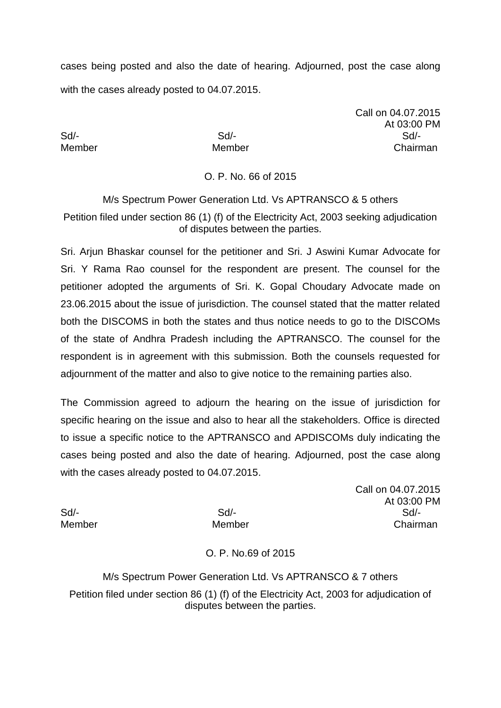cases being posted and also the date of hearing. Adjourned, post the case along with the cases already posted to 04.07.2015.

Call on 04.07.2015 At 03:00 PM Sd/- Sd/- Sd/- Member Member Chairman

O. P. No. 66 of 2015

M/s Spectrum Power Generation Ltd. Vs APTRANSCO & 5 others Petition filed under section 86 (1) (f) of the Electricity Act, 2003 seeking adjudication of disputes between the parties.

Sri. Arjun Bhaskar counsel for the petitioner and Sri. J Aswini Kumar Advocate for Sri. Y Rama Rao counsel for the respondent are present. The counsel for the petitioner adopted the arguments of Sri. K. Gopal Choudary Advocate made on 23.06.2015 about the issue of jurisdiction. The counsel stated that the matter related both the DISCOMS in both the states and thus notice needs to go to the DISCOMs of the state of Andhra Pradesh including the APTRANSCO. The counsel for the respondent is in agreement with this submission. Both the counsels requested for adjournment of the matter and also to give notice to the remaining parties also.

The Commission agreed to adjourn the hearing on the issue of jurisdiction for specific hearing on the issue and also to hear all the stakeholders. Office is directed to issue a specific notice to the APTRANSCO and APDISCOMs duly indicating the cases being posted and also the date of hearing. Adjourned, post the case along with the cases already posted to 04.07.2015.

Call on 04.07.2015 At 03:00 PM Sd/- Sd/- Sd/- Member Member Chairman

## O. P. No.69 of 2015

M/s Spectrum Power Generation Ltd. Vs APTRANSCO & 7 others Petition filed under section 86 (1) (f) of the Electricity Act, 2003 for adjudication of disputes between the parties.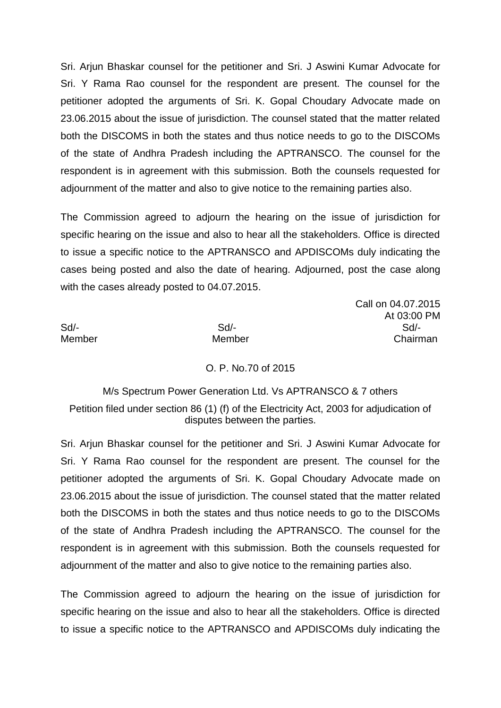Sri. Arjun Bhaskar counsel for the petitioner and Sri. J Aswini Kumar Advocate for Sri. Y Rama Rao counsel for the respondent are present. The counsel for the petitioner adopted the arguments of Sri. K. Gopal Choudary Advocate made on 23.06.2015 about the issue of jurisdiction. The counsel stated that the matter related both the DISCOMS in both the states and thus notice needs to go to the DISCOMs of the state of Andhra Pradesh including the APTRANSCO. The counsel for the respondent is in agreement with this submission. Both the counsels requested for adjournment of the matter and also to give notice to the remaining parties also.

The Commission agreed to adjourn the hearing on the issue of jurisdiction for specific hearing on the issue and also to hear all the stakeholders. Office is directed to issue a specific notice to the APTRANSCO and APDISCOMs duly indicating the cases being posted and also the date of hearing. Adjourned, post the case along with the cases already posted to 04.07.2015.

Call on 04.07.2015 At 03:00 PM Sd/- Sd/- Sd/- Member Member Chairman

#### O. P. No.70 of 2015

M/s Spectrum Power Generation Ltd. Vs APTRANSCO & 7 others Petition filed under section 86 (1) (f) of the Electricity Act, 2003 for adjudication of disputes between the parties.

Sri. Arjun Bhaskar counsel for the petitioner and Sri. J Aswini Kumar Advocate for Sri. Y Rama Rao counsel for the respondent are present. The counsel for the petitioner adopted the arguments of Sri. K. Gopal Choudary Advocate made on 23.06.2015 about the issue of jurisdiction. The counsel stated that the matter related both the DISCOMS in both the states and thus notice needs to go to the DISCOMs of the state of Andhra Pradesh including the APTRANSCO. The counsel for the respondent is in agreement with this submission. Both the counsels requested for adjournment of the matter and also to give notice to the remaining parties also.

The Commission agreed to adjourn the hearing on the issue of jurisdiction for specific hearing on the issue and also to hear all the stakeholders. Office is directed to issue a specific notice to the APTRANSCO and APDISCOMs duly indicating the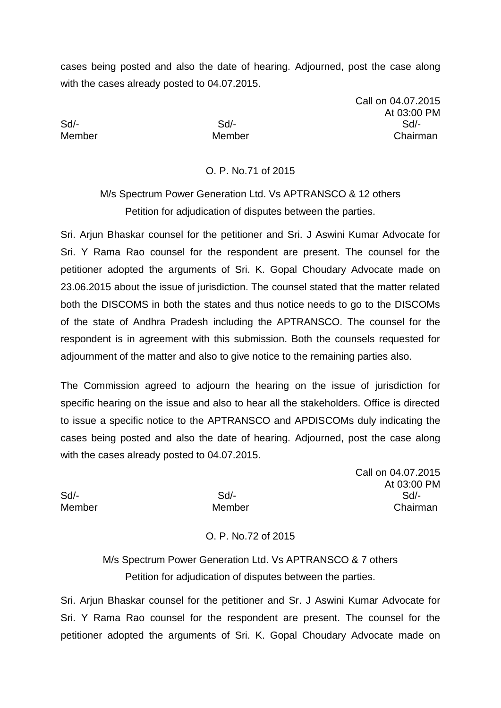cases being posted and also the date of hearing. Adjourned, post the case along with the cases already posted to 04.07.2015.

Call on 04.07.2015 At 03:00 PM Sd/- Sd/- Sd/- Member Member Chairman

## O. P. No.71 of 2015

## M/s Spectrum Power Generation Ltd. Vs APTRANSCO & 12 others Petition for adjudication of disputes between the parties.

Sri. Arjun Bhaskar counsel for the petitioner and Sri. J Aswini Kumar Advocate for Sri. Y Rama Rao counsel for the respondent are present. The counsel for the petitioner adopted the arguments of Sri. K. Gopal Choudary Advocate made on 23.06.2015 about the issue of jurisdiction. The counsel stated that the matter related both the DISCOMS in both the states and thus notice needs to go to the DISCOMs of the state of Andhra Pradesh including the APTRANSCO. The counsel for the respondent is in agreement with this submission. Both the counsels requested for adjournment of the matter and also to give notice to the remaining parties also.

The Commission agreed to adjourn the hearing on the issue of jurisdiction for specific hearing on the issue and also to hear all the stakeholders. Office is directed to issue a specific notice to the APTRANSCO and APDISCOMs duly indicating the cases being posted and also the date of hearing. Adjourned, post the case along with the cases already posted to 04.07.2015.

Call on 04.07.2015 At 03:00 PM Sd/- Sd/- Sd/- Member Member Chairman

## O. P. No.72 of 2015

M/s Spectrum Power Generation Ltd. Vs APTRANSCO & 7 others Petition for adjudication of disputes between the parties.

Sri. Arjun Bhaskar counsel for the petitioner and Sr. J Aswini Kumar Advocate for Sri. Y Rama Rao counsel for the respondent are present. The counsel for the petitioner adopted the arguments of Sri. K. Gopal Choudary Advocate made on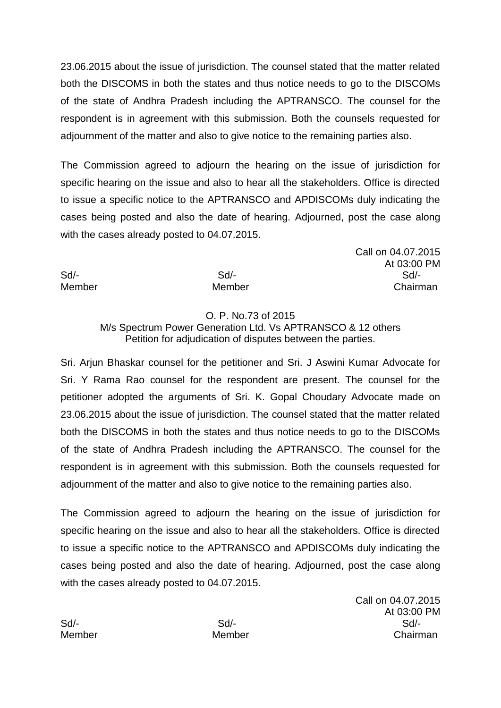23.06.2015 about the issue of jurisdiction. The counsel stated that the matter related both the DISCOMS in both the states and thus notice needs to go to the DISCOMs of the state of Andhra Pradesh including the APTRANSCO. The counsel for the respondent is in agreement with this submission. Both the counsels requested for adjournment of the matter and also to give notice to the remaining parties also.

The Commission agreed to adjourn the hearing on the issue of jurisdiction for specific hearing on the issue and also to hear all the stakeholders. Office is directed to issue a specific notice to the APTRANSCO and APDISCOMs duly indicating the cases being posted and also the date of hearing. Adjourned, post the case along with the cases already posted to 04.07.2015.

Call on 04.07.2015 At 03:00 PM Sd/- Sd/- Sd/- Member Member Chairman

### O. P. No.73 of 2015

### M/s Spectrum Power Generation Ltd. Vs APTRANSCO & 12 others Petition for adjudication of disputes between the parties.

Sri. Arjun Bhaskar counsel for the petitioner and Sri. J Aswini Kumar Advocate for Sri. Y Rama Rao counsel for the respondent are present. The counsel for the petitioner adopted the arguments of Sri. K. Gopal Choudary Advocate made on 23.06.2015 about the issue of jurisdiction. The counsel stated that the matter related both the DISCOMS in both the states and thus notice needs to go to the DISCOMs of the state of Andhra Pradesh including the APTRANSCO. The counsel for the respondent is in agreement with this submission. Both the counsels requested for adjournment of the matter and also to give notice to the remaining parties also.

The Commission agreed to adjourn the hearing on the issue of jurisdiction for specific hearing on the issue and also to hear all the stakeholders. Office is directed to issue a specific notice to the APTRANSCO and APDISCOMs duly indicating the cases being posted and also the date of hearing. Adjourned, post the case along with the cases already posted to 04.07.2015.

Call on 04.07.2015 At 03:00 PM Sd/- Sd/- Sd/- Member Member Chairman